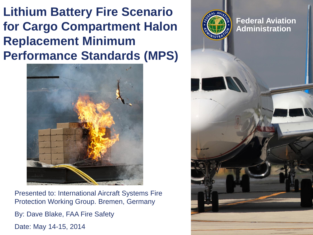**Lithium Battery Fire Scenario for Cargo Compartment Halon Replacement Minimum Performance Standards (MPS)**



Presented to: International Aircraft Systems Fire Protection Working Group. Bremen, Germany By: Dave Blake, FAA Fire Safety Date: May 14-15, 2014

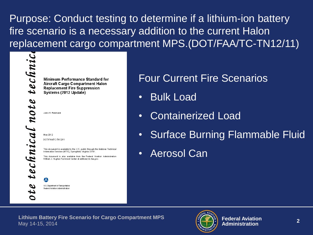Purpose: Conduct testing to determine if a lithium-ion battery fire scenario is a necessary addition to the current Halon replacement cargo compartment MPS.(DOT/FAA/TC-TN12/11)

technic note technical

Minimum Performance Standard for **Aircraft Cargo Compartment Halon Replacement Fire Suppression** Systems (2012 Update)

John W. Reinhardt

May 2012 DOT/FAA/TC-TN12/11

P

This document is available to the U.S. public through the National Technical Information Services (NTIS), Springfield, Virginia 22161

This document is also available from the Federal Aviation Administration William J. Hughes Technical Center at actiibrary.tc.faa.gov.

U.S. Department of Transportation Federal Aviation Administration

## Four Current Fire Scenarios

- Bulk Load
- Containerized Load
- Surface Burning Flammable Fluid
- Aerosol Can

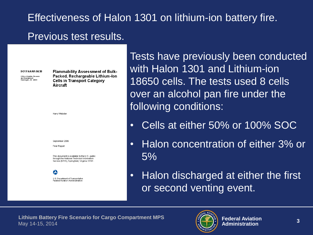## Effectiveness of Halon 1301 on lithium-ion battery fire. Previous test results.

DOT/FAA/AR-06/38

Office of Aulation Research and Deuelopment<br>Washight, DC 20591

**Flammability Assessment of Bulk-**Packed, Rechargeable Lithium-lon **Cells in Transport Category** Aircraft

| September 2006                                                                                                                              |  |
|---------------------------------------------------------------------------------------------------------------------------------------------|--|
| Final Report                                                                                                                                |  |
| This document is available to the U.S. public<br>through the National Technical Information<br>Service (NTIS), Springfield, Virginia 22161. |  |
|                                                                                                                                             |  |

Harry Webster

U.S. Department of Transportation Federal Aviation Administration

Tests have previously been conducted with Halon 1301 and Lithium-ion 18650 cells. The tests used 8 cells over an alcohol pan fire under the following conditions:

- Cells at either 50% or 100% SOC
- Halon concentration of either 3% or 5%
- Halon discharged at either the first or second venting event.

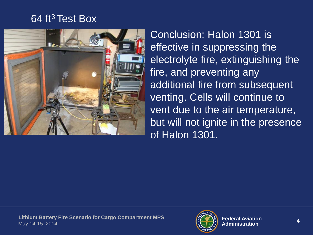## 64 ft<sup>3</sup> Test Box



Conclusion: Halon 1301 is effective in suppressing the electrolyte fire, extinguishing the fire, and preventing any additional fire from subsequent venting. Cells will continue to vent due to the air temperature, but will not ignite in the presence of Halon 1301.

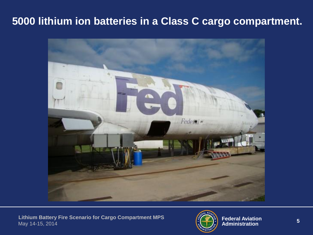## **5000 lithium ion batteries in a Class C cargo compartment.**



**Lithium Battery Fire Scenario for Cargo Compartment MPS** May 14-15, 2014

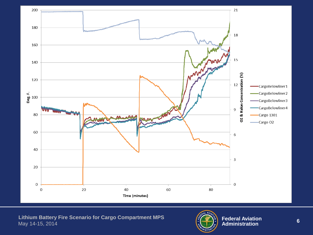

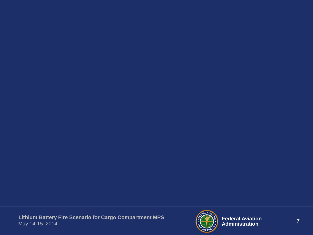